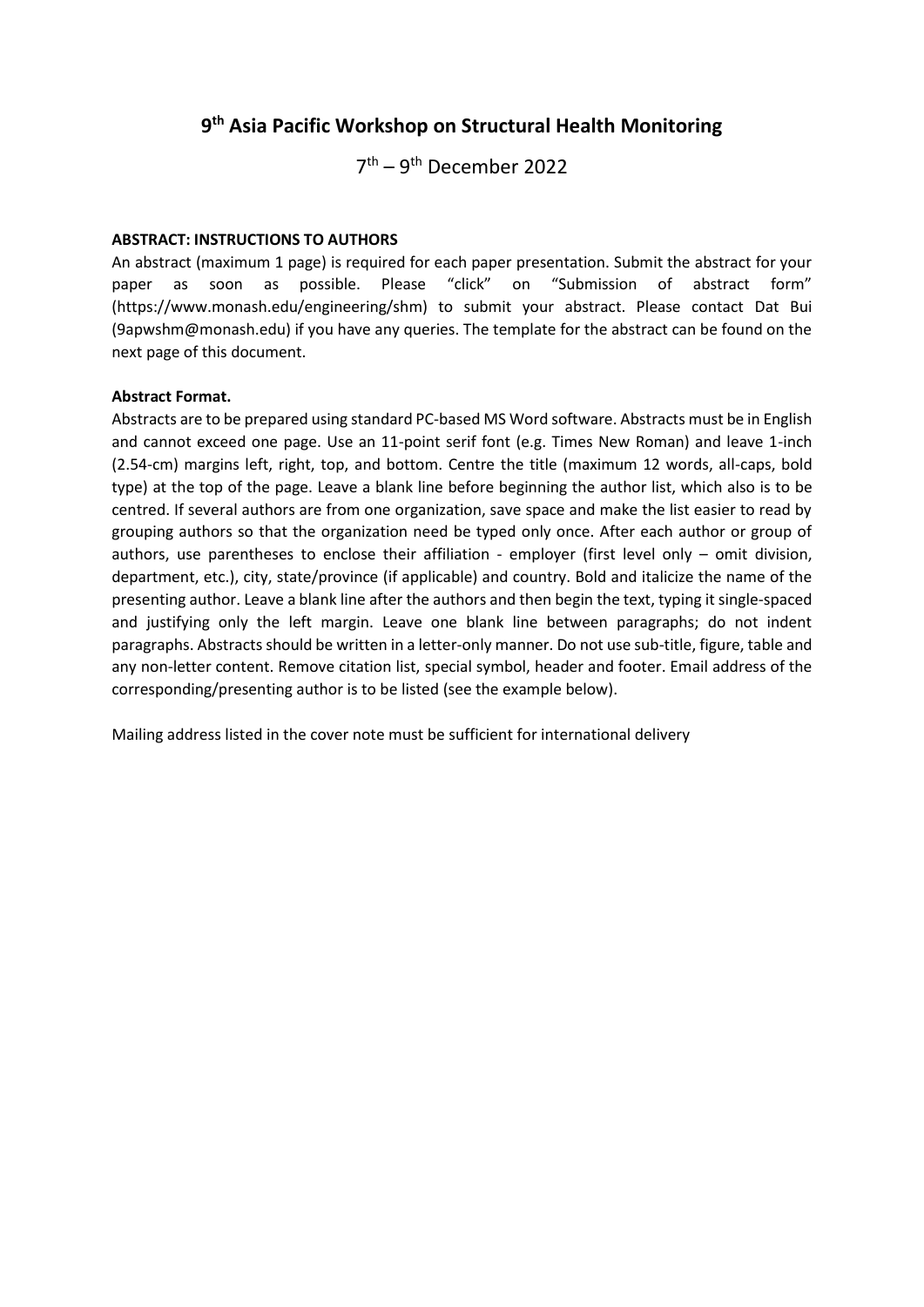## **9 th Asia Pacific Workshop on Structural Health Monitoring**

7<sup>th</sup> – 9<sup>th</sup> December 2022

#### **ABSTRACT: INSTRUCTIONS TO AUTHORS**

An abstract (maximum 1 page) is required for each paper presentation. Submit the abstract for your paper as soon as possible. Please "click" on "Submission of abstract form" (https://www.monash.edu/engineering/shm) to submit your abstract. Please contact Dat Bui (9apwshm@monash.edu) if you have any queries. The template for the abstract can be found on the next page of this document.

#### **Abstract Format.**

Abstracts are to be prepared using standard PC-based MS Word software. Abstracts must be in English and cannot exceed one page. Use an 11-point serif font (e.g. Times New Roman) and leave 1-inch (2.54-cm) margins left, right, top, and bottom. Centre the title (maximum 12 words, all-caps, bold type) at the top of the page. Leave a blank line before beginning the author list, which also is to be centred. If several authors are from one organization, save space and make the list easier to read by grouping authors so that the organization need be typed only once. After each author or group of authors, use parentheses to enclose their affiliation - employer (first level only – omit division, department, etc.), city, state/province (if applicable) and country. Bold and italicize the name of the presenting author. Leave a blank line after the authors and then begin the text, typing it single-spaced and justifying only the left margin. Leave one blank line between paragraphs; do not indent paragraphs. Abstracts should be written in a letter-only manner. Do not use sub-title, figure, table and any non-letter content. Remove citation list, special symbol, header and footer. Email address of the corresponding/presenting author is to be listed (see the example below).

Mailing address listed in the cover note must be sufficient for international delivery